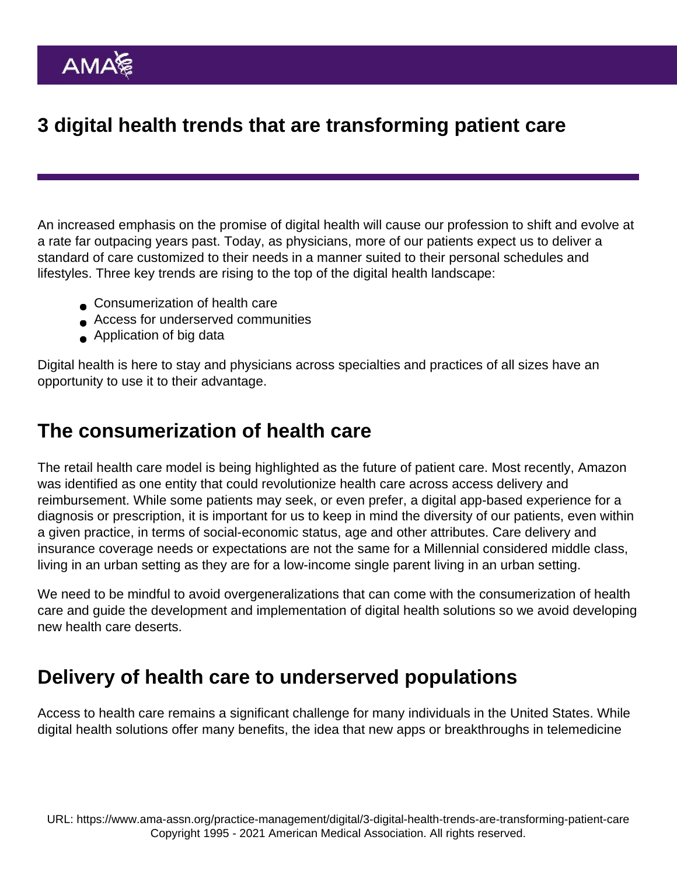# 3 digital health trends that are transforming patient care

An increased emphasis on the promise of digital health will cause our profession to shift and evolve at a rate far outpacing years past. Today, as physicians, more of our patients expect us to deliver a standard of care customized to their needs in a manner suited to their personal schedules and lifestyles. Three key trends are rising to the top of the digital health landscape:

- **Consumerization of health care**
- Access for underserved communities
- Application of big data

Digital health is here to stay and physicians across specialties and practices of all sizes have an opportunity to use it to their advantage.

#### The consumerization of health care

The retail health care model is being highlighted as the future of patient care. Most recently, [Amazon](https://www.beckershospitalreview.com/hospital-management-administration/amazon-vs-walmart-who-has-more-power-to-change-healthcare-s-landscape.html) was identified as one entity that could revolutionize health care across access delivery and reimbursement. While some patients may seek, or even prefer, a digital app-based experience for a diagnosis or prescription, it is important for us to keep in mind the diversity of our patients, even within a given practice, in terms of social-economic status, age and other attributes. Care delivery and insurance coverage needs or expectations are not the same for a Millennial considered middle class, living in an urban setting as they are for a low-income single parent living in an urban setting.

We need to be mindful to avoid overgeneralizations that can come with the consumerization of health care and guide the development and implementation of digital health solutions so we avoid developing new health care deserts.

### Delivery of health care to underserved populations

Access to health care remains a significant challenge for many individuals in the United States. While digital health solutions offer many benefits, the idea that new apps or breakthroughs in telemedicine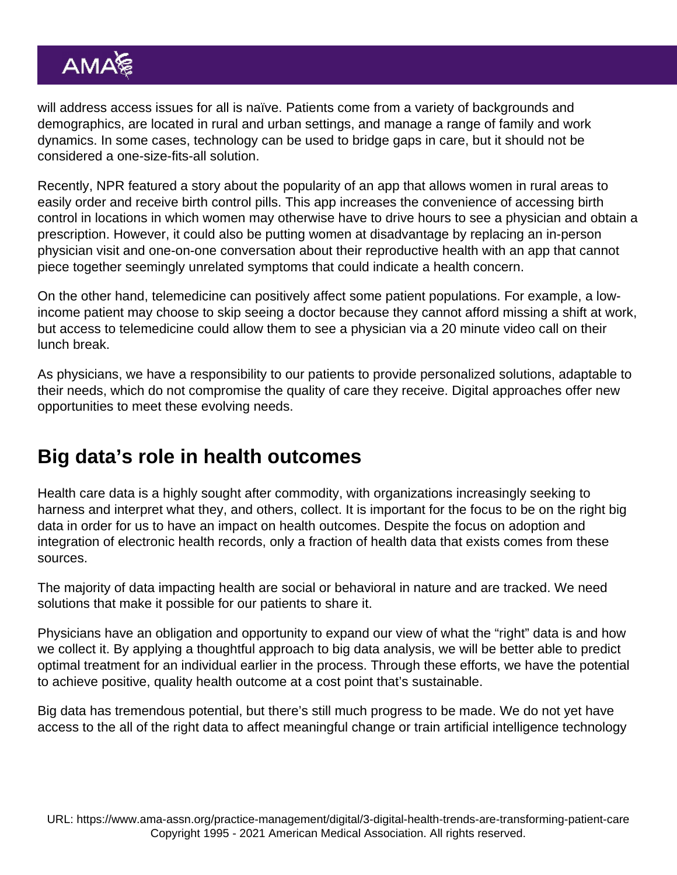will address access issues for all is naïve. Patients come from a variety of backgrounds and demographics, are located in rural and urban settings, and manage a range of family and work dynamics. In some cases, technology can be used to bridge gaps in care, but it should not be considered a one-size-fits-all solution.

Recently, NPR featured a [story](https://www.npr.org/sections/health-shots/2018/03/26/595387963/birth-control-apps-find-a-big-market-in-contraception-deserts) about the popularity of an app that allows women in rural areas to easily order and receive birth control pills. This app increases the convenience of accessing birth control in locations in which women may otherwise have to drive hours to see a physician and obtain a prescription. However, it could also be putting women at disadvantage by replacing an in-person physician visit and one-on-one conversation about their reproductive health with an app that cannot piece together seemingly unrelated symptoms that could indicate a health concern.

On the other hand, telemedicine can positively affect some patient populations. For example, a lowincome patient may choose to skip seeing a doctor because they cannot afford missing a shift at work, but access to telemedicine could allow them to see a physician via a 20 minute video call on their lunch break.

As physicians, we have a responsibility to our patients to provide personalized solutions, adaptable to their needs, which do not compromise the quality of care they receive. Digital approaches offer new opportunities to meet these evolving needs.

# Big data's role in health outcomes

Health care data is a highly sought after commodity, with organizations increasingly seeking to harness and interpret what they, and others, collect. It is important for the focus to be on the right big data in order for us to have an impact on health outcomes. Despite the focus on adoption and integration of electronic health records, only a fraction of health data that exists comes from these sources.

The majority of data impacting health are social or behavioral in nature and are tracked. We need solutions that make it possible for our patients to share it.

Physicians have an obligation and opportunity to expand our view of what the "right" data is and how we collect it. By applying a thoughtful approach to big data analysis, we will be better able to predict optimal treatment for an individual earlier in the process. Through these efforts, we have the potential to achieve positive, quality health outcome at a cost point that's sustainable.

Big data has tremendous potential, but there's still much progress to be made. We do not yet have access to the all of the right data to affect meaningful change or train artificial intelligence technology